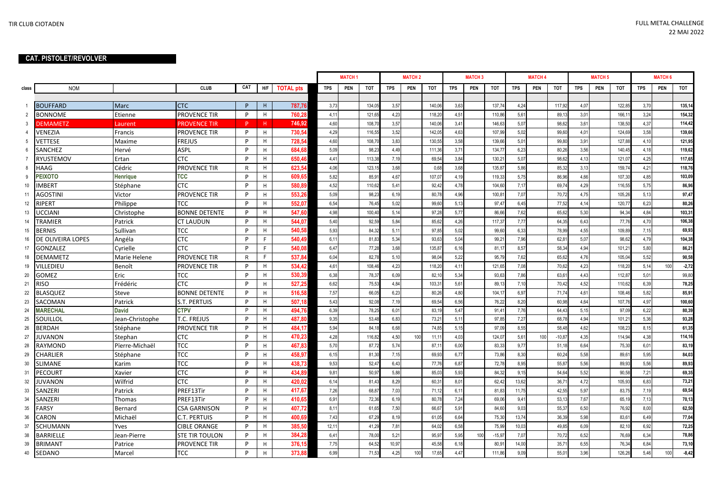## **CAT. PISTOLET/REVOLVER**

|                 |                   |                 |                       |     |     |                  | <b>MATCH1</b> |     |            |            | <b>MATCH 2</b> |            | <b>MATCH3</b>     |                    |            | <b>MATCH 4</b> |            | <b>MATCH 5</b> |     |        |            | <b>MATCH 6</b> |         |  |
|-----------------|-------------------|-----------------|-----------------------|-----|-----|------------------|---------------|-----|------------|------------|----------------|------------|-------------------|--------------------|------------|----------------|------------|----------------|-----|--------|------------|----------------|---------|--|
| class           | <b>NOM</b>        |                 | <b>CLUB</b>           | CAT | H/F | <b>TOTAL pts</b> | <b>TPS</b>    | PEN | <b>TOT</b> | <b>TPS</b> | PEN            | <b>TOT</b> | <b>TPS</b><br>PEN | TOT                | <b>TPS</b> | PEN            | <b>TOT</b> | <b>TPS</b>     | PEN | TOT    | <b>TPS</b> | PEN            | TOT     |  |
|                 |                   |                 |                       |     |     |                  |               |     |            |            |                |            |                   |                    |            |                |            |                |     |        |            |                |         |  |
| $\mathbf{1}$    | <b>BOUFFARD</b>   | Marc            | <b>CTC</b>            | P   | H   | 787,76           | 3,73          |     | 134,05     | 3,57       |                | 140,06     | 3,63              | 137,74             | 4,24       |                | 117,92     | 4,07           |     | 122,8  | 3,70       |                | 135,14  |  |
| $\overline{2}$  | <b>BONNOME</b>    | Etienne         | PROVENCE TIR          | P   | H   | 760,28           | 4,11          |     | 121.6      | 4,23       |                | 118.20     | 4,51              | 110,86             | 5,61       |                | 89,1       | 3,01           |     | 166,1  | 3,24       |                | 154,32  |  |
| 3               | <b>DEMAMETZ</b>   | Laurent         | <b>PROVENCE TIR</b>   | P.  | H.  | 746.92           | 4,60          |     | 108,7      | 3,57       |                | 140,06     | 3,41              | 146,63             | 5,07       |                | 98,62      | 3,61           |     | 138,50 | 4,37       |                | 114,42  |  |
| $\overline{4}$  | VENEZIA           | Francis         | PROVENCE TIR          | P   | H   | 730,54           | 4,29          |     | 116,5      | 3,52       |                | 142,05     | 4,63              | 107,99             | 5.02       |                | 99,60      | 4,01           |     | 124,69 | 3,58       |                | 139,66  |  |
| $5\phantom{.0}$ | <b>VETTESE</b>    | Maxime          | <b>FREJUS</b>         | P   | H   | 728,5            | 4,60          |     | 108.7      | 3.83       |                | 130,55     | 3.58              | 139,66             | 5,01       |                | 99.80      | 3.91           |     | 127,88 | 4.10       |                | 121,95  |  |
| 6               | <b>SANCHEZ</b>    | Hervé           | <b>ASPL</b>           | P   | H   | 684.68           | 5.09          |     | 98.2       | 4.49       |                | 111.36     | 3.71              | 134.77             | 6.23       |                | 80.26      | 3.56           |     | 140.4  | 4.18       |                | 119,62  |  |
| $\overline{7}$  | RYUSTEMOV         | Ertan           | <b>CTC</b>            | P   | H   | 650,46           | 4,41          |     | 113,38     | 7,19       |                | 69,54      | 3,84              | $130.2^{\circ}$    | 5,07       |                | 98,62      | 4,13           |     | 121,0  | 4,25       |                | 117,65  |  |
| 8               | HAAG              | Cédric          | PROVENCE TIR          | R   | H.  | 623.54           | 4,06          |     | 123,15     | 3,68       |                | 0,68       | 3,68              | 135,87             | 5,86       |                | 85,32      | 3,13           |     | 159,7  | 4,21       |                | 118,76  |  |
| 9               | <b>PEIXOTO</b>    | Henrique        | TCC                   | P   | H.  | 609.65           | 5,82          |     | 85,91      | 4.67       |                | 107.07     | 4.19              | 119.33             | 5.75       |                | 86.96      | 4.66           |     | 107.30 | 4.85       |                | 103,09  |  |
| 10              | <b>IMBERT</b>     | Stéphane        | <b>CTC</b>            | P   | H   | 580,89           | 4,52          |     | 110,62     | 5,41       |                | 92,42      | 4,78              | 104,60             | 7,17       |                | 69,74      | 4,29           |     | 116,5  | 5,75       |                | 86,96   |  |
| 11              | AGOSTINI          | Victor          | <b>PROVENCE TIR</b>   | P   | H   | 553.26           | 5,09          |     | 98,23      | 6,19       |                | 80,78      | 4,96              | 100.8 <sup>°</sup> | 7,07       |                | 70,72      | 4,75           |     | 105,26 | 5,13       |                | 97,47   |  |
| 12              | RIPERT            | Philippe        | TCC                   | P   | H   | 552.07           | 6,54          |     | 76,45      | 5,02       |                | 99,60      | 5,13              | 97.47              | 6,45       |                | 77.52      | 4.14           |     | 120.7  | 6.23       |                | 80,26   |  |
| 13              | UCCIANI           | Christophe      | <b>BONNE DETENTE</b>  | P   | H   | 547,60           | 4,98          |     | 100,40     | 5,14       |                | 97,28      | 5,77              | 86,66              | 7,62       |                | 65,62      | 5,30           |     | 94,34  | 4,84       |                | 103,31  |  |
| 14              | TRAMIER           | Patrick         | <b>CT LAUDUN</b>      | P   | H   | 544,07           | 5,40          |     | 92,59      | 5,84       |                | 85,62      | 4,26              | 117,37             | 7,77       |                | 64,35      | 6,43           |     | 77,76  | 4,70       |                | 106,38  |  |
| 15              | <b>BERNIS</b>     | Sullivan        | TCC                   | P   | H   | 540.58           | 5,93          |     | 84.32      | 5,1        |                | 97,85      | 5,02              | 99,60              | 6,33       |                | 78,99      | 4,55           |     | 109,89 | 7,15       |                | 69,93   |  |
| 16              | DE OLIVEIRA LOPES | Angéla          | <b>CTC</b>            | P   | F.  | 540,49           | 6,11          |     | 81,83      | 5,34       |                | 93,63      | 5,04              | 99,21              | 7,96       |                | 62,81      | 5,07           |     | 98,62  | 4,79       |                | 104,38  |  |
| 17              | GONZALEZ          | Cyrielle        | <b>CTC</b>            | P   | F.  | 540.08           | 6,47          |     | 77,28      | 3,68       |                | 135,87     | 6,16              | 81,17              | 8,57       |                | 58,34      | 4.94           |     | 101,2  | 5,80       |                | 86,21   |  |
| 18              | <b>DEMAMETZ</b>   | Marie Helene    | PROVENCE TIR          | R   | F.  | 537,84           | 6,04          |     | 82,78      | 5,10       |                | 98,04      | 5,22              | 95,79              | 7,62       |                | 65,62      | 4,76           |     | 105,04 | 5,52       |                | 90,58   |  |
| 19              | VILLEDIEU         | Benoît          | PROVENCE TIR          | P   | H   | 534,42           | 4,61          |     | 108,46     | 4,23       |                | 118,20     | 4,11              | 121,65             | 7,08       |                | 70,62      | 4,23           |     | 118,2  | 5,14       | 100            | $-2,72$ |  |
| 20              | GOMEZ             | Eric            | TCC                   | P   | H   | 530,39           | 6,38          |     | 78,37      | 6,09       |                | 82,10      | 5,34              | 93,63              | 7,86       |                | 63,61      | 4.43           |     | 112,8  | 5,01       |                | 99,80   |  |
| 21              | <b>RISO</b>       | Frédéric        | <b>CTC</b>            | P   | H   | 527.25           | 6,62          |     | 75,53      | 4.84       |                | 103,3'     | 5,61              | 89,1               | 7,10       |                | 70,42      | 4,52           |     | 110,62 | 6,39       |                | 78,25   |  |
| 22              | <b>BLASQUEZ</b>   | Steve           | <b>BONNE DETENTE</b>  | P   | H   | 516,58           | 7,57          |     | 66,05      | 6,23       |                | 80,26      | 4,80              | 104,17             | 6,97       |                | 71,74      | 4,61           |     | 108,46 | 5,82       |                | 85,91   |  |
| 23              | SACOMAN           | Patrick         | <b>S.T. PERTUIS</b>   | P   | H   | 507,18           | 5,43          |     | 92,08      | 7,19       |                | 69,54      | 6,56              | 76,22              | 8,20       |                | 60,98      | 4,64           |     | 107,7  | 4,97       |                | 100,60  |  |
| 24              | <b>MARECHAL</b>   | <b>David</b>    | <b>CTPV</b>           | P   | H   | 494.76           | 6.39          |     | 78,25      | 6.01       |                | 83,19      | 5,47              | 91,41              | 7,76       |                | 64,43      | 5.15           |     | 97.09  | 6.22       |                | 80,39   |  |
| 25              | SOUILLOL          | Jean-Christophe | T.C. FREJUS           | P   | H   | 487,80           | 9,35          |     | 53,48      | 6,83       |                | 73,21      | 5,11              | 97,85              | 7,27       |                | 68,78      | 4,94           |     | 101,2  | 5,36       |                | 93,28   |  |
| 26              | <b>BERDAH</b>     | Stéphane        | PROVENCE TIR          | P   | H   | 484.17           | 5,94          |     | 84.1       | 6,68       |                | 74,85      | 5,15              | 97,09              | 8,55       |                | 58,48      | 4,62           |     | 108,2  | 8,15       |                | 61,35   |  |
| 27              | JUVANON           | Stephan         | <b>CTC</b>            | P   | H   | 470.23           | 4,28          |     | 116,82     | 4,50       | 100            | 11,1'      | 4,03              | 124,07             | 5,61       | 100            | $-10,87$   | 4,35           |     | 114,94 | 4,38       |                | 114,16  |  |
| 28              | RAYMOND           | Pïerre-Michaël  | TCC                   | P   | H.  | 467.83           | 5,70          |     | 87.72      | 5.74       |                | 87,1'      | 6.00              | 83.33              | 9,77       |                | 51.18      | 6.64           |     | 75,30  | 6.01       |                | 83,19   |  |
| 29              | CHARLIER          | Stéphane        | <b>TCC</b>            | P   | H   | 458,97           | 6,15          |     | 81,30      | 7,15       |                | 69,93      | 6,77              | 73,86              | 8,30       |                | 60,24      | 5,58           |     | 89,6   | 5,95       |                | 84,03   |  |
| 30              | <b>SLIMANE</b>    | Karim           | TCC                   | P   | H   | 438.73           | 9,53          |     | 52.47      | 6.43       |                | 77,76      | 6,87              | 72,78              | 8,95       |                | 55,8       | 5,56           |     | 89,9   | 5,56       |                | 89,93   |  |
| 31              | PECOURT           | Xavier          | CTC                   | P   | H   | 434.89           | 9,81          |     | 50,97      | 5.88       |                | 85,03      | 5,93              | 84,32              | 9,15       |                | 54.64      | 5,52           |     | 90,58  | 7,21       |                | 69,35   |  |
| 32              | JUVANON           | Wilfrid         | <b>CTC</b>            | P   | H   | 420,02           | 6,14          |     | 81.43      | 8,29       |                | 60,31      | 8,01              | 62,42              | 13,62      |                | 36,7'      | 4,72           |     | 105,9  | 6,83       |                | 73,21   |  |
| 33              | SANZERI           | Patrick         | PREF13Tir             | P   | H   | 417,67           | 7,26          |     | 68,87      | 7,03       |                | 71,12      | 6,11              | 81,83              | 11.75      |                | 42,55      | 5,97           |     | 83,75  | 7,19       |                | 69,54   |  |
| 34              | SANZERI           | Thomas          | PREF13Tir             | P   | H.  | 410.65           | 6,91          |     | 72,36      | 6,19       |                | 80,78      | 7,24              | 69,06              | 9,41       |                | 53,13      | 7,67           |     | 65.1   | 7,13       |                | 70,13   |  |
| 35              | <b>FARSY</b>      | Bernard         | <b>CSA GARNISON</b>   | P   | H   | 407,72           | 8,11          |     | 61,65      | 7,50       |                | 66,67      | 5,91              | 84,60              | 9,03       |                | 55,37      | 6,50           |     | 76,92  | 8,00       |                | 62,50   |  |
| 36              | CARON             | Michaël         | C.T. PERTUIS          | P   | H.  | 400,69           | 7,43          |     | 67.29      | 8.19       |                | 61.05      | 6.64              | 75,30              | 13.74      |                | 36.39      | 5.98           |     | 83.6'  | 6.49       |                | 77,04   |  |
| 37              | <b>SCHUMANN</b>   | Yves            | <b>CIBLE ORANGE</b>   | P   | H   | 385.50           | 12,11         |     | 41.29      | 7,81       |                | 64.02      | 6.58              | 75,99              | 10.03      |                | 49.85      | 6.09           |     | 82.10  | 6.92       |                | 72,25   |  |
| 38              | <b>BARRIELLE</b>  | Jean-Pierre     | <b>STE TIR TOULON</b> | P   | H   | 384,28           | 6,41          |     | 78,00      | 5,21       |                | 95,9       | 5,95              | $-15,9$<br>100     | 7,07       |                | 70,72      | 6,52           |     | 76,69  | 6,34       |                | 78,86   |  |
| 39              | <b>BRIMANT</b>    | Patrice         | PROVENCE TIR          | P   | H   | 376.15           | 7,75          |     | 64.52      | 10,97      |                | 45,58      | 6,18              | 80,91              | 14,00      |                | 35,71      | 6.55           |     | 76,34  | 6,84       |                | 73,10   |  |
| 40              | <b>SEDANO</b>     | Marcel          | TCC                   | P   | H.  | 373.8            | 6.99          |     | 71.5       | 4.25       | 100            | 17.65      | 4.47              | 111.86             | 9.09       |                | 55.01      | 3.96           |     | 126.26 | 5.46       | 100            | $-8,42$ |  |